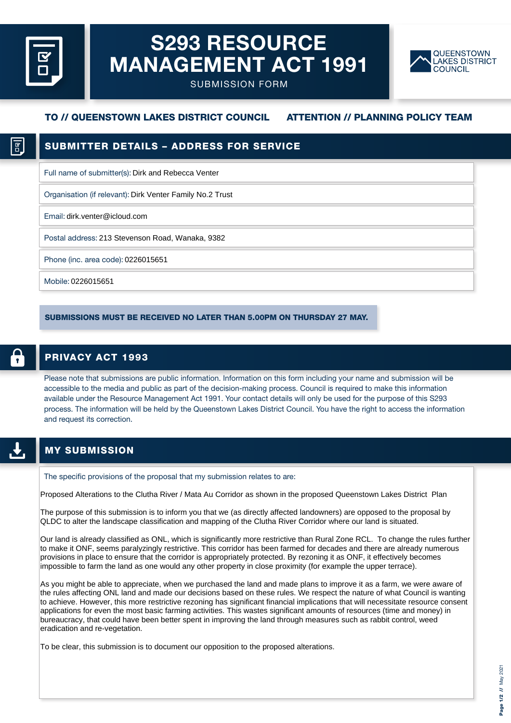# S293 RESOURCE MANAGEMENT ACT 1991



SUBMISSION FORM

# TO // QUEENSTOWN LAKES DISTRICT COUNCIL ATTENTION // PLANNING POLICY TEAM

### SUBMITTER DETAILS – ADDRESS FOR SERVICE

Full name of submitter(s): Dirk and Rebecca Venter

Organisation (if relevant): Dirk Venter Family No.2 Trust

Email: dirk.venter@icloud.com

Postal address: 213 Stevenson Road, Wanaka, 9382

Phone (inc. area code): 0226015651

Mobile: 0226015651

SUBMISSIONS MUST BE RECEIVED NO LATER THAN 5.00PM ON THURSDAY 27 MAY.

# PRIVACY ACT 1993

Please note that submissions are public information. Information on this form including your name and submission will be accessible to the media and public as part of the decision-making process. Council is required to make this information available under the Resource Management Act 1991. Your contact details will only be used for the purpose of this S293 process. The information will be held by the Queenstown Lakes District Council. You have the right to access the information and request its correction.

#### MY SUBMISSION

The specific provisions of the proposal that my submission relates to are:

Proposed Alterations to the Clutha River / Mata Au Corridor as shown in the proposed Queenstown Lakes District Plan

The purpose of this submission is to inform you that we (as directly affected landowners) are opposed to the proposal by QLDC to alter the landscape classification and mapping of the Clutha River Corridor where our land is situated.

Our land is already classified as ONL, which is significantly more restrictive than Rural Zone RCL. To change the rules further to make it ONF, seems paralyzingly restrictive. This corridor has been farmed for decades and there are already numerous provisions in place to ensure that the corridor is appropriately protected. By rezoning it as ONF, it effectively becomes impossible to farm the land as one would any other property in close proximity (for example the upper terrace).

As you might be able to appreciate, when we purchased the land and made plans to improve it as a farm, we were aware of the rules affecting ONL land and made our decisions based on these rules. We respect the nature of what Council is wanting to achieve. However, this more restrictive rezoning has significant financial implications that will necessitate resource consent applications for even the most basic farming activities. This wastes significant amounts of resources (time and money) in bureaucracy, that could have been better spent in improving the land through measures such as rabbit control, weed eradication and re-vegetation.

To be clear, this submission is to document our opposition to the proposed alterations.